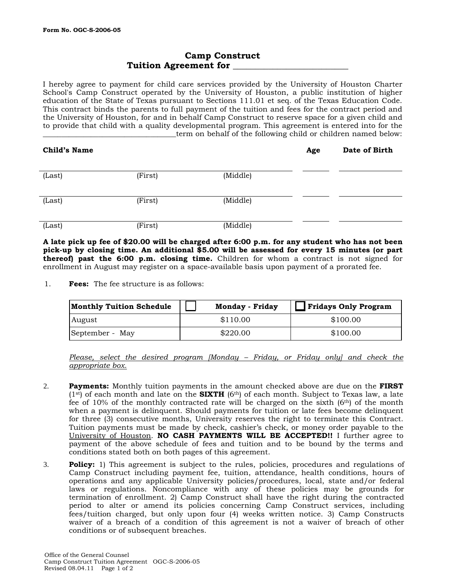## **Camp Construct Tuition Agreement for \_\_\_\_\_\_\_\_\_\_\_\_\_\_\_\_\_\_\_\_\_\_\_\_\_\_**

I hereby agree to payment for child care services provided by the University of Houston Charter School's Camp Construct operated by the University of Houston, a public institution of higher education of the State of Texas pursuant to Sections 111.01 et seq. of the Texas Education Code. This contract binds the parents to full payment of the tuition and fees for the contract period and the University of Houston, for and in behalf Camp Construct to reserve space for a given child and to provide that child with a quality developmental program. This agreement is entered into for the \_term on behalf of the following child or children named below:

| <b>Child's Name</b> |         |          | Age | Date of Birth |
|---------------------|---------|----------|-----|---------------|
| (Last)              | (First) | (Middle) |     |               |
| (Last)              | (First) | (Middle) |     |               |
| (Last)              | (First) | (Middle) |     |               |

**A late pick up fee of \$20.00 will be charged after 6:00 p.m. for any student who has not been pick-up by closing time. An additional \$5.00 will be assessed for every 15 minutes (or part thereof) past the 6:00 p.m. closing time.** Children for whom a contract is not signed for enrollment in August may register on a space-available basis upon payment of a prorated fee.

1. **Fees:** The fee structure is as follows:

| <b>Monthly Tuition Schedule</b> | <b>Monday - Friday</b> | Fridays Only Program |
|---------------------------------|------------------------|----------------------|
| August                          | \$110.00               | \$100.00             |
| September - May                 | \$220.00               | \$100.00             |

*Please, select the desired program [Monday – Friday, or Friday only] and check the appropriate box.* 

- 2. **Payments:** Monthly tuition payments in the amount checked above are due on the **FIRST**   $(1<sup>st</sup>)$  of each month and late on the **SIXTH**  $(6<sup>th</sup>)$  of each month. Subject to Texas law, a late fee of 10% of the monthly contracted rate will be charged on the sixth (6th) of the month when a payment is delinquent. Should payments for tuition or late fees become delinquent for three (3) consecutive months, University reserves the right to terminate this Contract. Tuition payments must be made by check, cashier's check, or money order payable to the University of Houston. **NO CASH PAYMENTS WILL BE ACCEPTED!!** I further agree to payment of the above schedule of fees and tuition and to be bound by the terms and conditions stated both on both pages of this agreement.
- 3. **Policy:** 1) This agreement is subject to the rules, policies, procedures and regulations of Camp Construct including payment fee, tuition, attendance, health conditions, hours of operations and any applicable University policies/procedures, local, state and/or federal laws or regulations. Noncompliance with any of these policies may be grounds for termination of enrollment. 2) Camp Construct shall have the right during the contracted period to alter or amend its policies concerning Camp Construct services, including fees/tuition charged, but only upon four (4) weeks written notice. 3) Camp Constructs waiver of a breach of a condition of this agreement is not a waiver of breach of other conditions or of subsequent breaches.